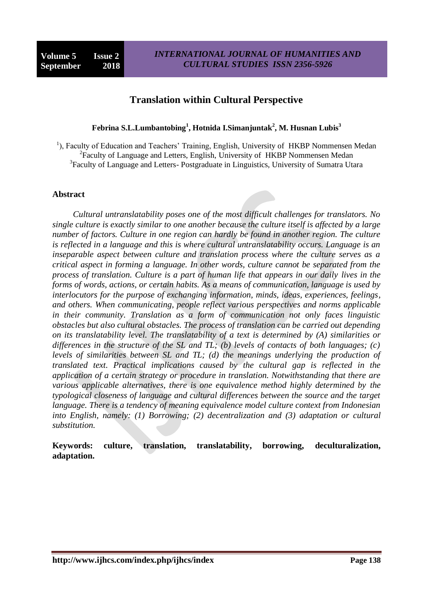### **Translation within Cultural Perspective**

**Febrina S.L.Lumbantobing<sup>1</sup> , Hotnida I.Simanjuntak<sup>2</sup> , M. Husnan Lubis<sup>3</sup>**

<sup>1</sup>), Faculty of Education and Teachers' Training, English, University of HKBP Nommensen Medan <sup>2</sup> Faculty of Language and Letters, English, University of HKBP Nommensen Medan <sup>3</sup>Faculty of Language and Letters- Postgraduate in Linguistics, University of Sumatra Utara

### **Abstract**

*Cultural untranslatability poses one of the most difficult challenges for translators. No single culture is exactly similar to one another because the culture itself is affected by a large number of factors. Culture in one region can hardly be found in another region. The culture is reflected in a language and this is where cultural untranslatability occurs. Language is an inseparable aspect between culture and translation process where the culture serves as a critical aspect in forming a language. In other words, culture cannot be separated from the process of translation. Culture is a part of human life that appears in our daily lives in the forms of words, actions, or certain habits. As a means of communication, language is used by interlocutors for the purpose of exchanging information, minds, ideas, experiences, feelings, and others. When communicating, people reflect various perspectives and norms applicable in their community. Translation as a form of communication not only faces linguistic obstacles but also cultural obstacles. The process of translation can be carried out depending on its translatability level. The translatability of a text is determined by (A) similarities or differences in the structure of the SL and TL; (b) levels of contacts of both languages; (c) levels of similarities between SL and TL; (d) the meanings underlying the production of translated text. Practical implications caused by the cultural gap is reflected in the application of a certain strategy or procedure in translation. Notwithstanding that there are various applicable alternatives, there is one equivalence method highly determined by the typological closeness of language and cultural differences between the source and the target language. There is a tendency of meaning equivalence model culture context from Indonesian into English, namely: (1) Borrowing; (2) decentralization and (3) adaptation or cultural substitution.*

**Keywords: culture, translation, translatability, borrowing, deculturalization, adaptation.**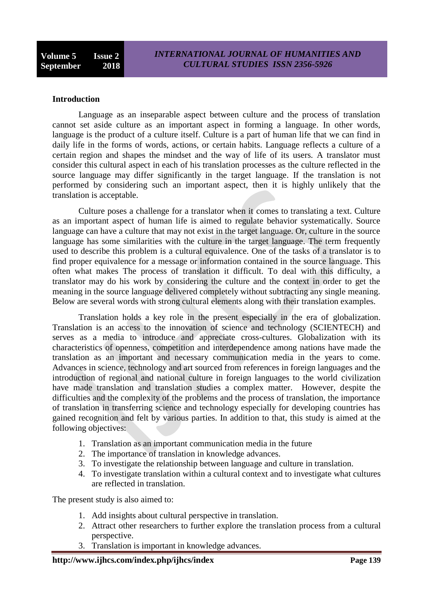### **Introduction**

Language as an inseparable aspect between culture and the process of translation cannot set aside culture as an important aspect in forming a language. In other words, language is the product of a culture itself. Culture is a part of human life that we can find in daily life in the forms of words, actions, or certain habits. Language reflects a culture of a certain region and shapes the mindset and the way of life of its users. A translator must consider this cultural aspect in each of his translation processes as the culture reflected in the source language may differ significantly in the target language. If the translation is not performed by considering such an important aspect, then it is highly unlikely that the translation is acceptable.

Culture poses a challenge for a translator when it comes to translating a text. Culture as an important aspect of human life is aimed to regulate behavior systematically. Source language can have a culture that may not exist in the target language. Or, culture in the source language has some similarities with the culture in the target language. The term frequently used to describe this problem is a cultural equivalence. One of the tasks of a translator is to find proper equivalence for a message or information contained in the source language. This often what makes [The process of](https://www.penerjemah-online.com/) translation it difficult. To deal with this difficulty, a translator may do his work by considering the culture and the context in order to get the meaning in the source language delivered completely without subtracting any single meaning. Below are several words with strong cultural elements along with their translation examples.

Translation holds a key role in the present especially in the era of globalization. Translation is an access to the innovation of science and technology (SCIENTECH) and serves as a media to introduce and appreciate cross-cultures. Globalization with its characteristics of openness, competition and interdependence among nations have made the translation as an important and necessary communication media in the years to come. Advances in science, technology and art sourced from references in foreign languages and the introduction of regional and national culture in foreign languages to the world civilization have made translation and translation studies a complex matter. However, despite the difficulties and the complexity of the problems and the process of translation, the importance of translation in transferring science and technology especially for developing countries has gained recognition and felt by various parties. In addition to that, this study is aimed at the following objectives:

- 1. Translation as an important communication media in the future
- 2. The importance of translation in knowledge advances.
- 3. To investigate the relationship between language and culture in translation.
- 4. To investigate translation within a cultural context and to investigate what cultures are reflected in translation.

The present study is also aimed to:

- 1. Add insights about cultural perspective in translation.
- 2. Attract other researchers to further explore the translation process from a cultural perspective.
- 3. Translation is important in knowledge advances.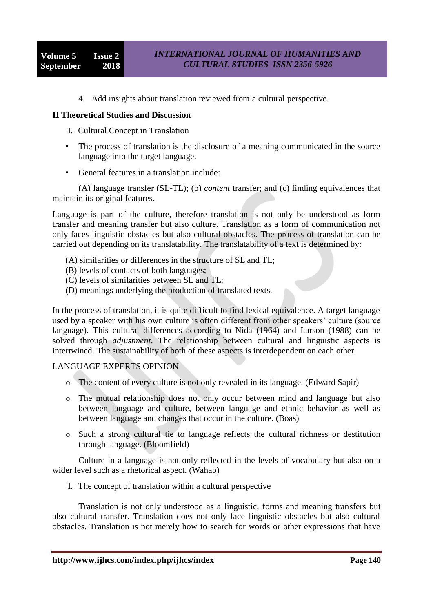4. Add insights about translation reviewed from a cultural perspective.

### **II Theoretical Studies and Discussion**

- I. Cultural Concept in Translation
- The process of translation is the disclosure of a meaning communicated in the source language into the target language.
- General features in a translation include:

(A) language transfer (SL-TL); (b) *content* transfer; and (c) finding equivalences that maintain its original features.

Language is part of the culture, therefore translation is not only be understood as form transfer and meaning transfer but also culture. Translation as a form of communication not only faces linguistic obstacles but also cultural obstacles. The process of translation can be carried out depending on its translatability. The translatability of a text is determined by:

- (A) similarities or differences in the structure of SL and TL;
- (B) levels of contacts of both languages;
- (C) levels of similarities between SL and TL;
- (D) meanings underlying the production of translated texts.

In the process of translation, it is quite difficult to find lexical equivalence. A target language used by a speaker with his own culture is often different from other speakers' culture (source language). This cultural differences according to Nida (1964) and Larson (1988) can be solved through *adjustment*. The relationship between cultural and linguistic aspects is intertwined. The sustainability of both of these aspects is interdependent on each other.

### LANGUAGE EXPERTS OPINION

- o The content of every culture is not only revealed in its language. (Edward Sapir)
- o The mutual relationship does not only occur between mind and language but also between language and culture, between language and ethnic behavior as well as between language and changes that occur in the culture. (Boas)
- o Such a strong cultural tie to language reflects the cultural richness or destitution through language. (Bloomfield)

Culture in a language is not only reflected in the levels of vocabulary but also on a wider level such as a rhetorical aspect. (Wahab)

I. The concept of translation within a cultural perspective

Translation is not only understood as a linguistic, forms and meaning transfers but also cultural transfer. Translation does not only face linguistic obstacles but also cultural obstacles. Translation is not merely how to search for words or other expressions that have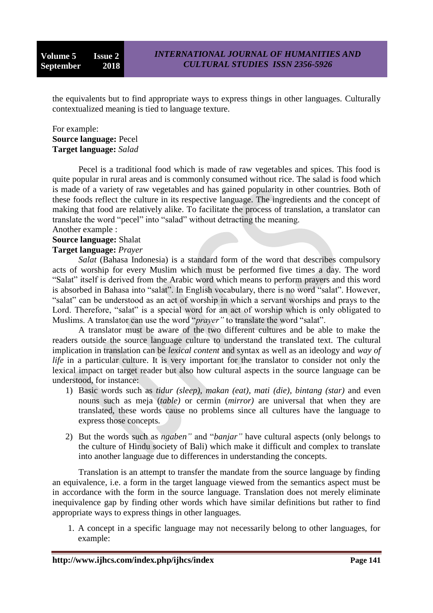the equivalents but to find appropriate ways to express things in other languages. Culturally contextualized meaning is tied to language texture.

### For example: **Source language:** Pecel **Target language:** *Salad*

Pecel is a traditional food which is made of raw vegetables and spices. This food is quite popular in rural areas and is commonly consumed without rice. The salad is food which is made of a variety of raw vegetables and has gained popularity in other countries. Both of these foods reflect the culture in its respective language. The ingredients and the concept of making that food are relatively alike. To facilitate the process of translation, a translator can translate the word "pecel" into "salad" without detracting the meaning.

### Another example :

# **Source language:** Shalat

## **Target language:** *Prayer*

*Salat* (Bahasa Indonesia) is a standard form of the word that describes compulsory acts of worship for every Muslim which must be performed five times a day. The word "Salat" itself is derived from the Arabic word which means to perform prayers and this word is absorbed in Bahasa into "salat". In English vocabulary, there is no word "salat". However, "salat" can be understood as an act of worship in which a servant worships and prays to the Lord. Therefore, "salat" is a special word for an act of worship which is only obligated to Muslims. A translator can use the word "*prayer*" to translate the word "salat".

A translator must be aware of the two different cultures and be able to make the readers outside the source language culture to understand the translated text. The cultural implication in translation can be *lexical content* and syntax as well as an ideology and *way of life* in a particular culture. It is very important for the translator to consider not only the lexical impact on target reader but also how cultural aspects in the source language can be understood, for instance:

- 1) Basic words such as *tidur (sleep), makan (eat), mati (die), bintang (star)* and even nouns such as meja (*table)* or cermin (*mirror)* are universal that when they are translated, these words cause no problems since all cultures have the language to express those concepts.
- 2) But the words such as *ngaben"* and "*banjar"* have cultural aspects (only belongs to the culture of Hindu society of Bali) which make it difficult and complex to translate into another language due to differences in understanding the concepts.

Translation is an attempt to transfer the mandate from the source language by finding an equivalence, i.e. a form in the target language viewed from the semantics aspect must be in accordance with the form in the source language. Translation does not merely eliminate inequivalence gap by finding other words which have similar definitions but rather to find appropriate ways to express things in other languages.

1. A concept in a specific language may not necessarily belong to other languages, for example: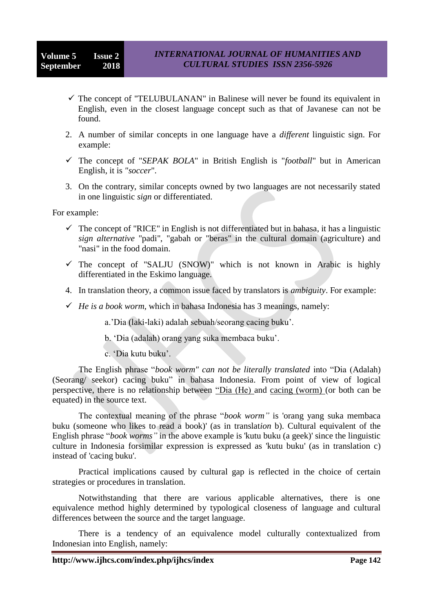- $\checkmark$  The concept of "TELUBULANAN" in Balinese will never be found its equivalent in English, even in the closest language concept such as that of Javanese can not be found.
- 2. A number of similar concepts in one language have a *different* linguistic sign. For example:
- The concept of "*SEPAK BOLA*" in British English is "*football*" but in American English, it is *"soccer*".
- 3. On the contrary, similar concepts owned by two languages are not necessarily stated in one linguistic *sign* or differentiated.

For example:

- $\checkmark$  The concept of "RICE" in English is not differentiated but in bahasa, it has a linguistic *sign alternative* "padi", "gabah or "beras" in the cultural domain (agriculture) and "nasi" in the food domain.
- $\checkmark$  The concept of "SALJU (SNOW)" which is not known in Arabic is highly differentiated in the Eskimo language.
- 4. In translation theory, a common issue faced by translators is *ambiguity*. For example:
- $\checkmark$  *He is a book worm*, which in bahasa Indonesia has 3 meanings, namely:

a."Dia (laki-laki) adalah sebuah/seorang cacing buku".

- b. "Dia (adalah) orang yang suka membaca buku".
- c. "Dia kutu buku".

The English phrase "*book worm" can not be literally translated* into "Dia (Adalah) (Seorang/ seekor) cacing buku" in bahasa Indonesia. From point of view of logical perspective, there is no relationship between "Dia (He) and cacing (worm) (or both can be equated) in the source text.

The contextual meaning of the phrase "*book worm"* is 'orang yang suka membaca buku (someone who likes to read a book)' (as in translat*ion* b). Cultural equivalent of the English phrase "*book worms"* in the above example is 'kutu buku (a geek)' since the linguistic culture in Indonesia forsimilar expression is expressed as 'kutu buku' (as in translation c) instead of 'cacing buku'.

Practical implications caused by cultural gap is reflected in the choice of certain strategies or procedures in translation.

Notwithstanding that there are various applicable alternatives, there is one equivalence method highly determined by typological closeness of language and cultural differences between the source and the target language.

There is a tendency of an equivalence model culturally contextualized from Indonesian into English, namely: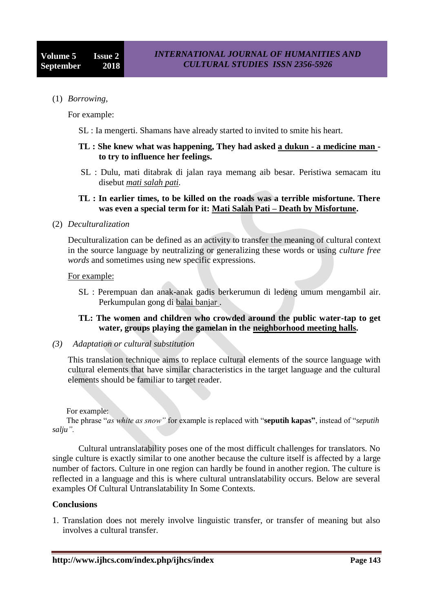(1) *Borrowing*,

For example:

SL : Ia mengerti. Shamans have already started to invited to smite his heart.

### **TL : She knew what was happening, They had asked a dukun - a medicine man to try to influence her feelings.**

SL : Dulu, mati ditabrak di jalan raya memang aib besar. Peristiwa semacam itu disebut *mati salah pati.* 

### **TL : In earlier times, to be killed on the roads was a terrible misfortune. There was even a special term for it: Mati Salah Pati – Death by Misfortune.**

(2) *Deculturalization* 

Deculturalization can be defined as an activity to transfer the meaning of cultural context in the source language by neutralizing or generalizing these words or using *culture free words* and sometimes using new specific expressions.

### For example:

SL : Perempuan dan anak-anak gadis berkerumun di ledeng umum mengambil air. Perkumpulan gong di balai banjar .

### **TL: The women and children who crowded around the public water-tap to get water, groups playing the gamelan in the neighborhood meeting halls.**

*(3) Adaptation or cultural substitution* 

This translation technique aims to replace cultural elements of the source language with cultural elements that have similar characteristics in the target language and the cultural elements should be familiar to target reader.

For example:

 The phrase "*as white as snow"* for example is replaced with "**seputih kapas"**, instead of "*seputih salju".*

Cultural untranslatability poses one of the most difficult challenges for translators. No single culture is exactly similar to one another because the culture itself is affected by a large number of factors. Culture in one region can hardly be found in another region. The culture is reflected in a language and this is where cultural untranslatability occurs. Below are several examples Of Cultural Untranslatability In Some Contexts.

### **Conclusions**

1. Translation does not merely involve linguistic transfer, or transfer of meaning but also involves a cultural transfer.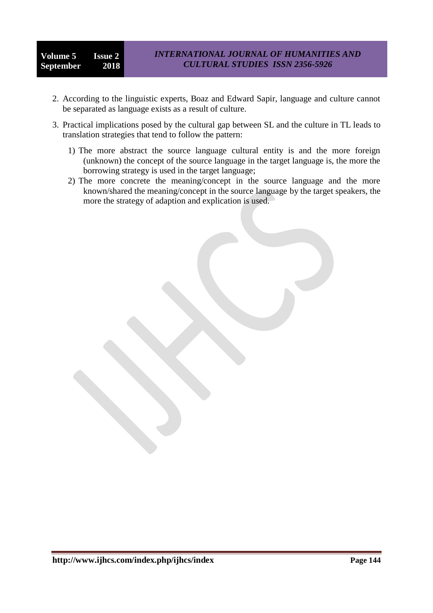- 2. According to the linguistic experts, Boaz and Edward Sapir, language and culture cannot be separated as language exists as a result of culture.
- 3. Practical implications posed by the cultural gap between SL and the culture in TL leads to translation strategies that tend to follow the pattern:
	- 1) The more abstract the source language cultural entity is and the more foreign (unknown) the concept of the source language in the target language is, the more the borrowing strategy is used in the target language;
	- 2) The more concrete the meaning/concept in the source language and the more known/shared the meaning/concept in the source language by the target speakers, the more the strategy of adaption and explication is used.